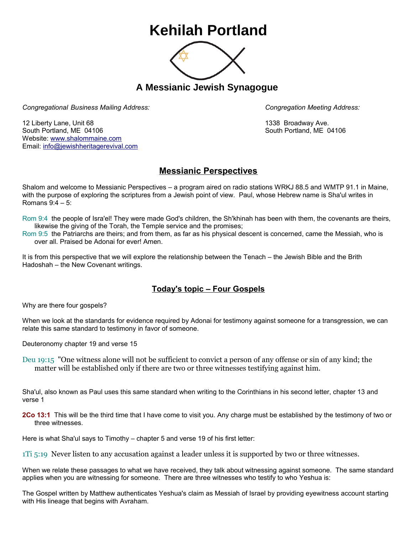## **Kehilah Portland**



**A Messianic Jewish Synagogue** 

*Congregational Business Mailing Address: Congregation Meeting Address:*

12 Liberty Lane, Unit 68 1338 Broadway Ave. South Portland, ME 04106 South Portland, ME 04106 Website: [www.shalommaine.com](http://www.shalommaine.com/) Email: [info@jewishheritagerevival.com](mailto:info@jewishheritagerevival.com) 

## **Messianic Perspectives**

Shalom and welcome to Messianic Perspectives – a program aired on radio stations WRKJ 88.5 and WMTP 91.1 in Maine, with the purpose of exploring the scriptures from a Jewish point of view. Paul, whose Hebrew name is Sha'ul writes in Romans 9:4 – 5:

Rom 9:4 the people of Isra'el! They were made God's children, the Sh'khinah has been with them, the covenants are theirs, likewise the giving of the Torah, the Temple service and the promises;

Rom 9:5 the Patriarchs are theirs; and from them, as far as his physical descent is concerned, came the Messiah, who is over all. Praised be Adonai for ever! Amen.

It is from this perspective that we will explore the relationship between the Tenach – the Jewish Bible and the Brith Hadoshah – the New Covenant writings.

## **Today's topic – Four Gospels**

Why are there four gospels?

When we look at the standards for evidence required by Adonai for testimony against someone for a transgression, we can relate this same standard to testimony in favor of someone.

Deuteronomy chapter 19 and verse 15

Deu 19:15 "One witness alone will not be sufficient to convict a person of any offense or sin of any kind; the matter will be established only if there are two or three witnesses testifying against him.

Sha'ul, also known as Paul uses this same standard when writing to the Corinthians in his second letter, chapter 13 and verse 1

**2Co 13:1** This will be the third time that I have come to visit you. Any charge must be established by the testimony of two or three witnesses.

Here is what Sha'ul says to Timothy – chapter 5 and verse 19 of his first letter:

1Ti 5:19 Never listen to any accusation against a leader unless it is supported by two or three witnesses.

When we relate these passages to what we have received, they talk about witnessing against someone. The same standard applies when you are witnessing for someone. There are three witnesses who testify to who Yeshua is:

The Gospel written by Matthew authenticates Yeshua's claim as Messiah of Israel by providing eyewitness account starting with His lineage that begins with Avraham.